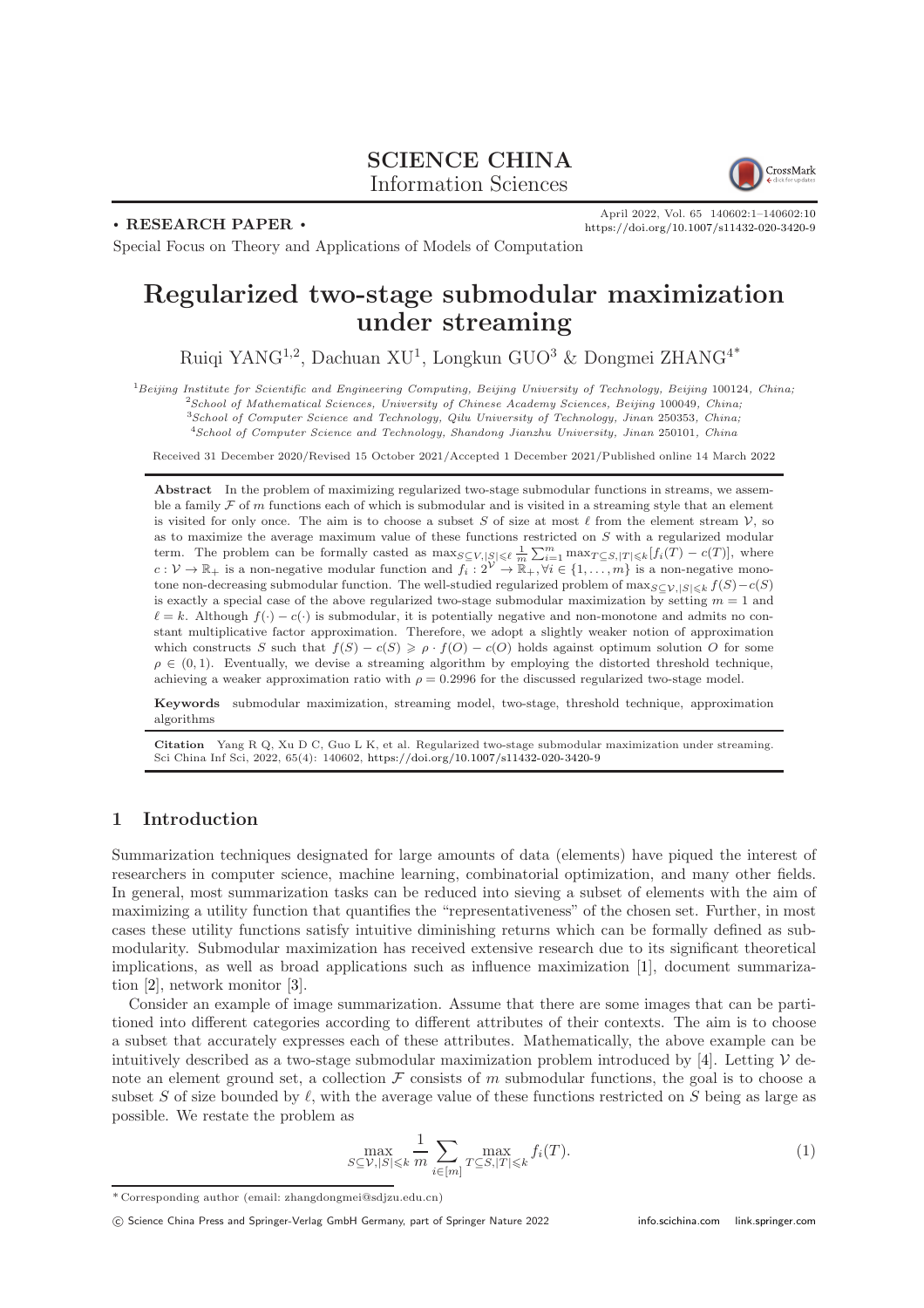# SCIENCE CHINA Information Sciences



. RESEARCH PAPER .

April 2022, Vol. 65 140602:1–140602[:10](#page-9-0) <https://doi.org/10.1007/s11432-020-3420-9>

Special Focus on Theory and Applications of Models of Computation

# Regularized two-stage submodular maximization under streaming

Ruiqi YANG<sup>1,2</sup>, Dachuan XU<sup>1</sup>, Longkun GUO<sup>3</sup> & Dongmei ZHANG<sup>4\*</sup>

Beijing Institute for Scientific and Engineering Computing, Beijing University of Technology, Beijing 100124, China; <sup>2</sup>School of Mathematical Sciences, University of Chinese Academy Sciences, Beijing 100049, China; School of Computer Science and Technology, Qilu University of Technology, Jinan 250353, China; School of Computer Science and Technology, Shandong Jianzhu University, Jinan 250101, China

Received 31 December 2020/Revised 15 October 2021/Accepted 1 December 2021/Published online 14 March 2022

Abstract In the problem of maximizing regularized two-stage submodular functions in streams, we assemble a family  $\mathcal F$  of m functions each of which is submodular and is visited in a streaming style that an element is visited for only once. The aim is to choose a subset S of size at most  $\ell$  from the element stream  $\mathcal{V}$ , so as to maximize the average maximum value of these functions restricted on S with a regularized modular term. The problem can be formally casted as  $\max_{S \subseteq V, |S| \leq \ell} \frac{1}{m} \sum_{i=1}^{m} \max_{T \subseteq S, |T| \leq k} [f_i(T) - c(T)]$ , where  $c: \mathcal{V} \to \mathbb{R}_+$  is a non-negative modular function and  $f_i : 2^{\mathcal{V}} \to \mathbb{R}_+, \forall i \in \{1, \ldots, m\}$  is a non-negative monotone non-decreasing submodular function. The well-studied regularized problem of  $\max_{S\subseteq\mathcal{V},|S|\leq k}f(S)-c(S)$ is exactly a special case of the above regularized two-stage submodular maximization by setting  $m = 1$  and  $\ell = k$ . Although  $f(\cdot) - c(\cdot)$  is submodular, it is potentially negative and non-monotone and admits no constant multiplicative factor approximation. Therefore, we adopt a slightly weaker notion of approximation which constructs S such that  $f(S) - c(S) \geq \rho \cdot f(O) - c(O)$  holds against optimum solution O for some  $\rho \in (0,1)$ . Eventually, we devise a streaming algorithm by employing the distorted threshold technique, achieving a weaker approximation ratio with  $\rho = 0.2996$  for the discussed regularized two-stage model.

Keywords submodular maximization, streaming model, two-stage, threshold technique, approximation algorithms

Citation Yang R Q, Xu D C, Guo L K, et al. Regularized two-stage submodular maximization under streaming. Sci China Inf Sci, 2022, 65(4): 140602, <https://doi.org/10.1007/s11432-020-3420-9>

# 1 Introduction

Summarization techniques designated for large amounts of data (elements) have piqued the interest of researchers in computer science, machine learning, combinatorial optimization, and many other fields. In general, most summarization tasks can be reduced into sieving a subset of elements with the aim of maximizing a utility function that quantifies the "representativeness" of the chosen set. Further, in most cases these utility functions satisfy intuitive diminishing returns which can be formally defined as submodularity. Submodular maximization has received extensive research due to its significant theoretical implications, as well as broad applications such as influence maximization [\[1\]](#page-8-0), document summarization [\[2\]](#page-8-1), network monitor [\[3\]](#page-8-2).

Consider an example of image summarization. Assume that there are some images that can be partitioned into different categories according to different attributes of their contexts. The aim is to choose a subset that accurately expresses each of these attributes. Mathematically, the above example can be intuitively described as a two-stage submodular maximization problem introduced by [\[4\]](#page-9-1). Letting  $\mathcal V$  denote an element ground set, a collection  $\mathcal F$  consists of m submodular functions, the goal is to choose a subset S of size bounded by  $\ell$ , with the average value of these functions restricted on S being as large as possible. We restate the problem as

$$
\max_{S \subseteq \mathcal{V}, |S| \leqslant k} \frac{1}{m} \sum_{i \in [m]} \max_{T \subseteq S, |T| \leqslant k} f_i(T). \tag{1}
$$

<sup>\*</sup> Corresponding author (email: zhangdongmei@sdjzu.edu.cn)

c Science China Press and Springer-Verlag GmbH Germany, part of Springer Nature 2022 <info.scichina.com><link.springer.com>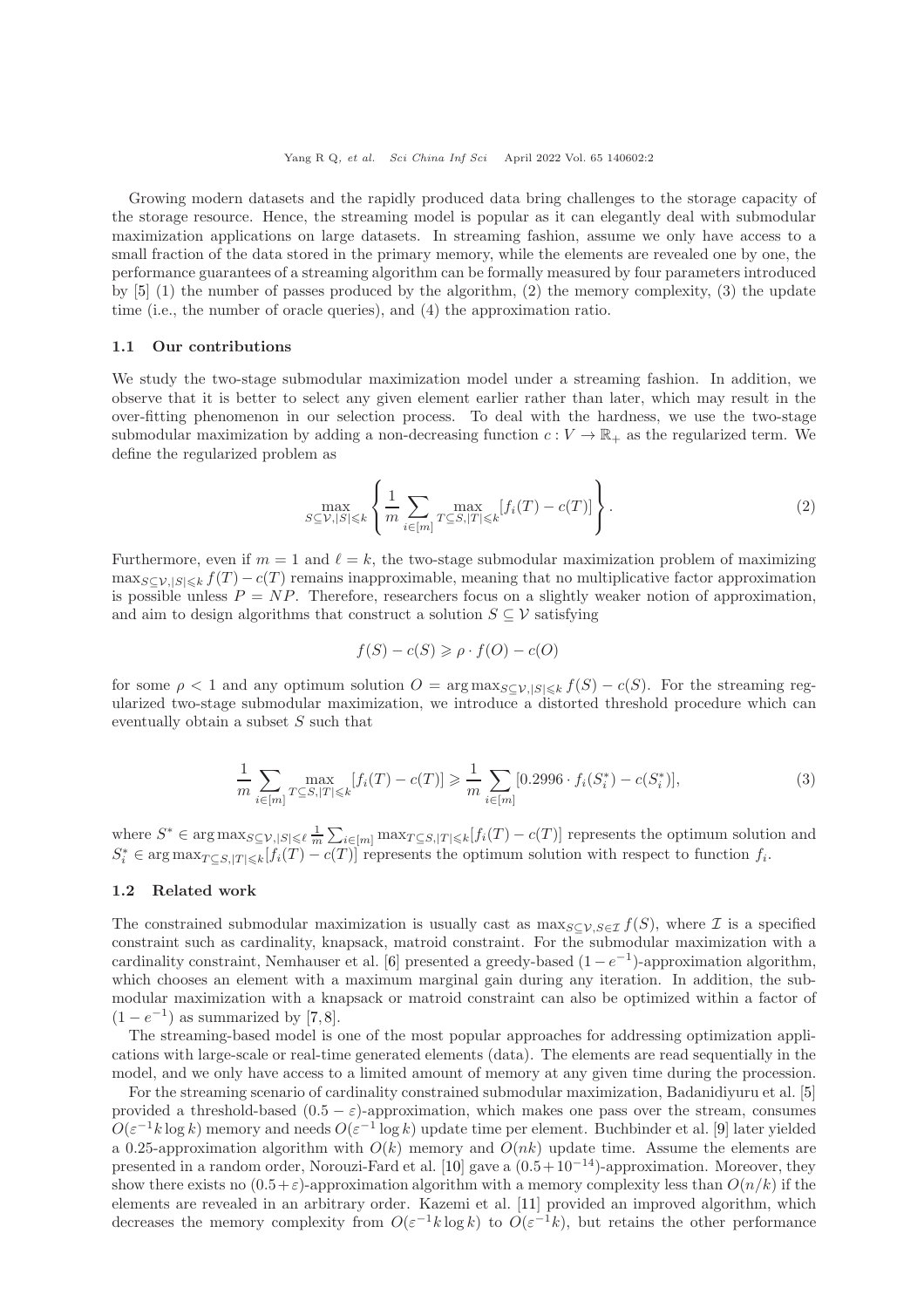Growing modern datasets and the rapidly produced data bring challenges to the storage capacity of the storage resource. Hence, the streaming model is popular as it can elegantly deal with submodular maximization applications on large datasets. In streaming fashion, assume we only have access to a small fraction of the data stored in the primary memory, while the elements are revealed one by one, the performance guarantees of a streaming algorithm can be formally measured by four parameters introduced by [\[5\]](#page-9-2) (1) the number of passes produced by the algorithm, (2) the memory complexity, (3) the update time (i.e., the number of oracle queries), and (4) the approximation ratio.

#### 1.1 Our contributions

We study the two-stage submodular maximization model under a streaming fashion. In addition, we observe that it is better to select any given element earlier rather than later, which may result in the over-fitting phenomenon in our selection process. To deal with the hardness, we use the two-stage submodular maximization by adding a non-decreasing function  $c: V \to \mathbb{R}_+$  as the regularized term. We define the regularized problem as

$$
\max_{S \subseteq \mathcal{V}, |S| \leq k} \left\{ \frac{1}{m} \sum_{i \in [m]} \max_{T \subseteq S, |T| \leq k} [f_i(T) - c(T)] \right\}.
$$
\n(2)

Furthermore, even if  $m = 1$  and  $\ell = k$ , the two-stage submodular maximization problem of maximizing  $\max_{S \subset V, |S| \leq k} f(T) - c(T)$  remains inapproximable, meaning that no multiplicative factor approximation is possible unless  $P = NP$ . Therefore, researchers focus on a slightly weaker notion of approximation, and aim to design algorithms that construct a solution  $S \subseteq V$  satisfying

$$
f(S) - c(S) \ge \rho \cdot f(O) - c(O)
$$

for some  $\rho < 1$  and any optimum solution  $O = \arg \max_{S \subset V, |S| \leq k} f(S) - c(S)$ . For the streaming regularized two-stage submodular maximization, we introduce a distorted threshold procedure which can eventually obtain a subset S such that

$$
\frac{1}{m} \sum_{i \in [m]} \max_{T \subseteq S, |T| \le k} [f_i(T) - c(T)] \ge \frac{1}{m} \sum_{i \in [m]} [0.2996 \cdot f_i(S_i^*) - c(S_i^*)],\tag{3}
$$

where  $S^* \in \arg \max_{S \subseteq \mathcal{V}, |S| \leq \ell} \frac{1}{m} \sum_{i \in [m]} \max_{T \subseteq S, |T| \leq k} [f_i(T) - c(T)]$  represents the optimum solution and  $S_i^* \in \arg \max_{T \subseteq S, |T| \le k} [f_i(T) - c(T)]$  represents the optimum solution with respect to function  $f_i$ .

#### 1.2 Related work

The constrained submodular maximization is usually cast as  $\max_{S\subseteq V, S\in\mathcal{I}} f(S)$ , where  $\mathcal I$  is a specified constraint such as cardinality, knapsack, matroid constraint. For the submodular maximization with a cardinality constraint, Nemhauser et al. [\[6\]](#page-9-3) presented a greedy-based  $(1 - e^{-1})$ -approximation algorithm, which chooses an element with a maximum marginal gain during any iteration. In addition, the submodular maximization with a knapsack or matroid constraint can also be optimized within a factor of  $(1-e^{-1})$  as summarized by [\[7,](#page-9-4)[8\]](#page-9-5).

The streaming-based model is one of the most popular approaches for addressing optimization applications with large-scale or real-time generated elements (data). The elements are read sequentially in the model, and we only have access to a limited amount of memory at any given time during the procession.

For the streaming scenario of cardinality constrained submodular maximization, Badanidiyuru et al. [\[5\]](#page-9-2) provided a threshold-based  $(0.5 - \varepsilon)$ -approximation, which makes one pass over the stream, consumes  $O(\varepsilon^{-1}k\log k)$  memory and needs  $O(\varepsilon^{-1}\log k)$  update time per element. Buchbinder et al. [\[9\]](#page-9-6) later yielded a 0.25-approximation algorithm with  $O(k)$  memory and  $O(nk)$  update time. Assume the elements are presented in a random order, Norouzi-Fard et al. [\[10\]](#page-9-7) gave a  $(0.5+10^{-14})$ -approximation. Moreover, they show there exists no  $(0.5+\varepsilon)$ -approximation algorithm with a memory complexity less than  $O(n/k)$  if the elements are revealed in an arbitrary order. Kazemi et al. [\[11\]](#page-9-8) provided an improved algorithm, which decreases the memory complexity from  $O(\varepsilon^{-1}k \log k)$  to  $O(\varepsilon^{-1}k)$ , but retains the other performance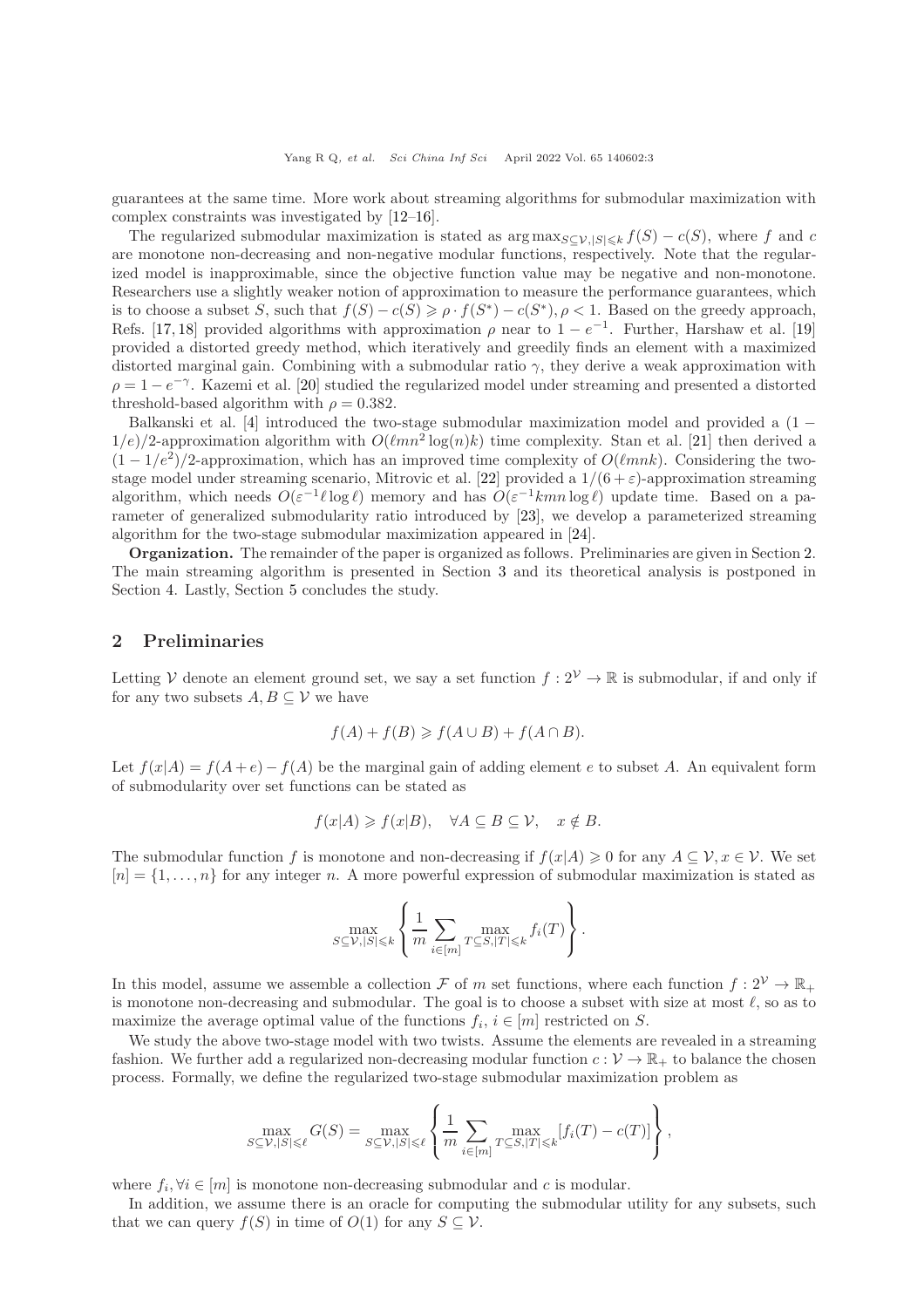guarantees at the same time. More work about streaming algorithms for submodular maximization with complex constraints was investigated by [\[12–](#page-9-9)[16\]](#page-9-10).

The regularized submodular maximization is stated as  $\arg \max_{S \subset V, |S| \leq k} f(S) - c(S)$ , where f and c are monotone non-decreasing and non-negative modular functions, respectively. Note that the regularized model is inapproximable, since the objective function value may be negative and non-monotone. Researchers use a slightly weaker notion of approximation to measure the performance guarantees, which is to choose a subset S, such that  $f(S) - c(S) \ge \rho \cdot f(S^*) - c(S^*)$ ,  $\rho < 1$ . Based on the greedy approach, Refs. [\[17,](#page-9-11) [18\]](#page-9-12) provided algorithms with approximation  $\rho$  near to  $1 - e^{-1}$ . Further, Harshaw et al. [\[19\]](#page-9-13) provided a distorted greedy method, which iteratively and greedily finds an element with a maximized distorted marginal gain. Combining with a submodular ratio  $\gamma$ , they derive a weak approximation with  $\rho = 1 - e^{-\gamma}$ . Kazemi et al. [\[20\]](#page-9-14) studied the regularized model under streaming and presented a distorted threshold-based algorithm with  $\rho = 0.382$ .

Balkanski et al. [\[4\]](#page-9-1) introduced the two-stage submodular maximization model and provided a (1 −  $1/e)/2$ -approximation algorithm with  $O(\ell mn^2 \log(n)k)$  time complexity. Stan et al. [\[21\]](#page-9-15) then derived a  $(1 - 1/e^2)/2$ -approximation, which has an improved time complexity of  $O(\ell m n k)$ . Considering the two-stage model under streaming scenario, Mitrovic et al. [\[22\]](#page-9-16) provided a  $1/(6+\varepsilon)$ -approximation streaming algorithm, which needs  $O(\varepsilon^{-1} \ell \log \ell)$  memory and has  $O(\varepsilon^{-1} kmn \log \ell)$  update time. Based on a parameter of generalized submodularity ratio introduced by [\[23\]](#page-9-17), we develop a parameterized streaming algorithm for the two-stage submodular maximization appeared in [\[24\]](#page-9-18).

Organization. The remainder of the paper is organized as follows. Preliminaries are given in Section [2.](#page-2-0) The main streaming algorithm is presented in Section [3](#page-3-0) and its theoretical analysis is postponed in Section [4.](#page-3-1) Lastly, Section [5](#page-8-3) concludes the study.

## <span id="page-2-0"></span>2 Preliminaries

Letting V denote an element ground set, we say a set function  $f: 2^{\mathcal{V}} \to \mathbb{R}$  is submodular, if and only if for any two subsets  $A, B \subseteq V$  we have

$$
f(A) + f(B) \ge f(A \cup B) + f(A \cap B).
$$

Let  $f(x|A) = f(A + e) - f(A)$  be the marginal gain of adding element e to subset A. An equivalent form of submodularity over set functions can be stated as

$$
f(x|A) \ge f(x|B), \quad \forall A \subseteq B \subseteq \mathcal{V}, \quad x \notin B.
$$

The submodular function f is monotone and non-decreasing if  $f(x|A) \geq 0$  for any  $A \subseteq V, x \in V$ . We set  $[n] = \{1, \ldots, n\}$  for any integer n. A more powerful expression of submodular maximization is stated as

$$
\max_{S \subseteq \mathcal{V}, |S| \leq k} \left\{ \frac{1}{m} \sum_{i \in [m]} \max_{T \subseteq S, |T| \leq k} f_i(T) \right\}.
$$

In this model, assume we assemble a collection F of m set functions, where each function  $f: 2^{\mathcal{V}} \to \mathbb{R}_+$ is monotone non-decreasing and submodular. The goal is to choose a subset with size at most  $\ell$ , so as to maximize the average optimal value of the functions  $f_i, i \in [m]$  restricted on S.

We study the above two-stage model with two twists. Assume the elements are revealed in a streaming fashion. We further add a regularized non-decreasing modular function  $c: \mathcal{V} \to \mathbb{R}_+$  to balance the chosen process. Formally, we define the regularized two-stage submodular maximization problem as

$$
\max_{S \subseteq \mathcal{V}, |S| \leq \ell} G(S) = \max_{S \subseteq \mathcal{V}, |S| \leq \ell} \left\{ \frac{1}{m} \sum_{i \in [m]} \max_{T \subseteq S, |T| \leq k} [f_i(T) - c(T)] \right\},\,
$$

where  $f_i, \forall i \in [m]$  is monotone non-decreasing submodular and c is modular.

In addition, we assume there is an oracle for computing the submodular utility for any subsets, such that we can query  $f(S)$  in time of  $O(1)$  for any  $S \subseteq V$ .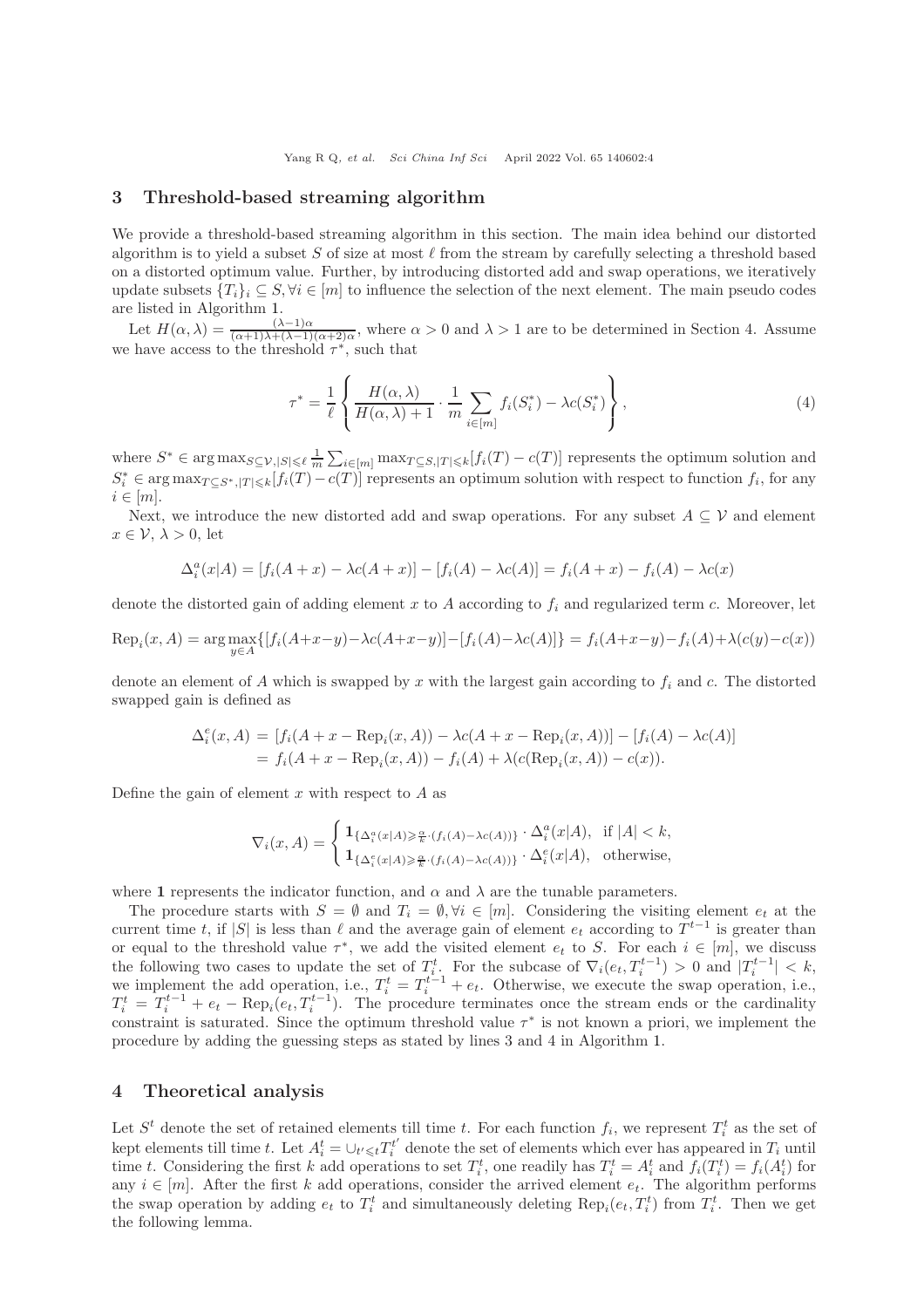#### <span id="page-3-0"></span>3 Threshold-based streaming algorithm

We provide a threshold-based streaming algorithm in this section. The main idea behind our distorted algorithm is to yield a subset S of size at most  $\ell$  from the stream by carefully selecting a threshold based on a distorted optimum value. Further, by introducing distorted add and swap operations, we iteratively update subsets  ${T_i}_i \subseteq S, \forall i \in [m]$  to influence the selection of the next element. The main pseudo codes are listed in Algorithm [1.](#page-4-0)

Let  $H(\alpha,\lambda) = \frac{(\lambda-1)\alpha}{(\alpha+1)\lambda+(\lambda-1)(\alpha+2)\alpha}$ , where  $\alpha > 0$  and  $\lambda > 1$  are to be determined in Section 4. Assume we have access to the threshold  $\tau^*$ , such that

$$
\tau^* = \frac{1}{\ell} \left\{ \frac{H(\alpha, \lambda)}{H(\alpha, \lambda) + 1} \cdot \frac{1}{m} \sum_{i \in [m]} f_i(S_i^*) - \lambda c(S_i^*) \right\},\tag{4}
$$

where  $S^* \in \arg \max_{S \subseteq \mathcal{V}, |S| \leq \ell} \frac{1}{m} \sum_{i \in [m]} \max_{T \subseteq S, |T| \leq k} [f_i(T) - c(T)]$  represents the optimum solution and  $S_i^* \in \arg \max_{T \subseteq S^*, |T| \leq k} [f_i(T) - c(T)]$  represents an optimum solution with respect to function  $f_i$ , for any  $i \in [m]$ .

Next, we introduce the new distorted add and swap operations. For any subset  $A \subseteq V$  and element  $x \in \mathcal{V}, \lambda > 0$ , let

$$
\Delta_i^a(x|A) = [f_i(A+x) - \lambda c(A+x)] - [f_i(A) - \lambda c(A)] = f_i(A+x) - f_i(A) - \lambda c(x)
$$

denote the distorted gain of adding element x to A according to  $f_i$  and regularized term c. Moreover, let

$$
Rep_i(x, A) = \arg \max_{y \in A} \{ [f_i(A + x - y) - \lambda c(A + x - y)] - [f_i(A) - \lambda c(A)] \} = f_i(A + x - y) - f_i(A) + \lambda (c(y) - c(x))
$$

denote an element of  $A$  which is swapped by  $x$  with the largest gain according to  $f_i$  and  $c$ . The distorted swapped gain is defined as

$$
\Delta_i^e(x, A) = [f_i(A + x - \text{Rep}_i(x, A)) - \lambda c(A + x - \text{Rep}_i(x, A))] - [f_i(A) - \lambda c(A)]
$$
  
=  $f_i(A + x - \text{Rep}_i(x, A)) - f_i(A) + \lambda (c(\text{Rep}_i(x, A)) - c(x)).$ 

Define the gain of element  $x$  with respect to  $A$  as

$$
\nabla_i(x, A) = \begin{cases} \mathbf{1}_{\{\Delta_i^a(x|A) \geq \frac{\alpha}{k} \cdot (f_i(A) - \lambda c(A))\}} \cdot \Delta_i^a(x|A), & \text{if } |A| < k, \\ \mathbf{1}_{\{\Delta_i^e(x|A) \geq \frac{\alpha}{k} \cdot (f_i(A) - \lambda c(A))\}} \cdot \Delta_i^e(x|A), & \text{otherwise,} \end{cases}
$$

where 1 represents the indicator function, and  $\alpha$  and  $\lambda$  are the tunable parameters.

The procedure starts with  $S = \emptyset$  and  $T_i = \emptyset, \forall i \in [m]$ . Considering the visiting element  $e_t$  at the current time t, if  $|S|$  is less than  $\ell$  and the average gain of element  $e_t$  according to  $T^{t-1}$  is greater than or equal to the threshold value  $\tau^*$ , we add the visited element  $e_t$  to S. For each  $i \in [m]$ , we discuss the following two cases to update the set of  $T_i^t$ . For the subcase of  $\nabla_i(e_t, T_i^{t-1}) > 0$  and  $|T_i^{t-1}| < k$ , we implement the add operation, i.e.,  $T_i^t = T_i^{t-1} + e_t$ . Otherwise, we execute the swap operation, i.e.,  $T_i^t = T_i^{t-1} + e_t - \text{Rep}_i(e_t, T_i^{t-1})$ . The procedure terminates once the stream ends or the cardinality constraint is saturated. Since the optimum threshold value  $\tau^*$  is not known a priori, we implement the procedure by adding the guessing steps as stated by lines 3 and 4 in Algorithm [1.](#page-4-0)

### <span id="page-3-1"></span>4 Theoretical analysis

Let  $S<sup>t</sup>$  denote the set of retained elements till time t. For each function  $f_i$ , we represent  $T_i^t$  as the set of kept elements till time t. Let  $A_i^t = \bigcup_{t' \leq t} T_i^{t'}$  denote the set of elements which ever has appeared in  $T_i$  until time t. Considering the first k add operations to set  $T_i^t$ , one readily has  $T_i^t = A_i^t$  and  $f_i(T_i^t) = f_i(A_i^t)$  for any  $i \in [m]$ . After the first k add operations, consider the arrived element  $e_t$ . The algorithm performs the swap operation by adding  $e_t$  to  $T_i^t$  and simultaneously deleting  $\text{Rep}_i(e_t, T_i^t)$  from  $T_i^t$ . Then we get the following lemma.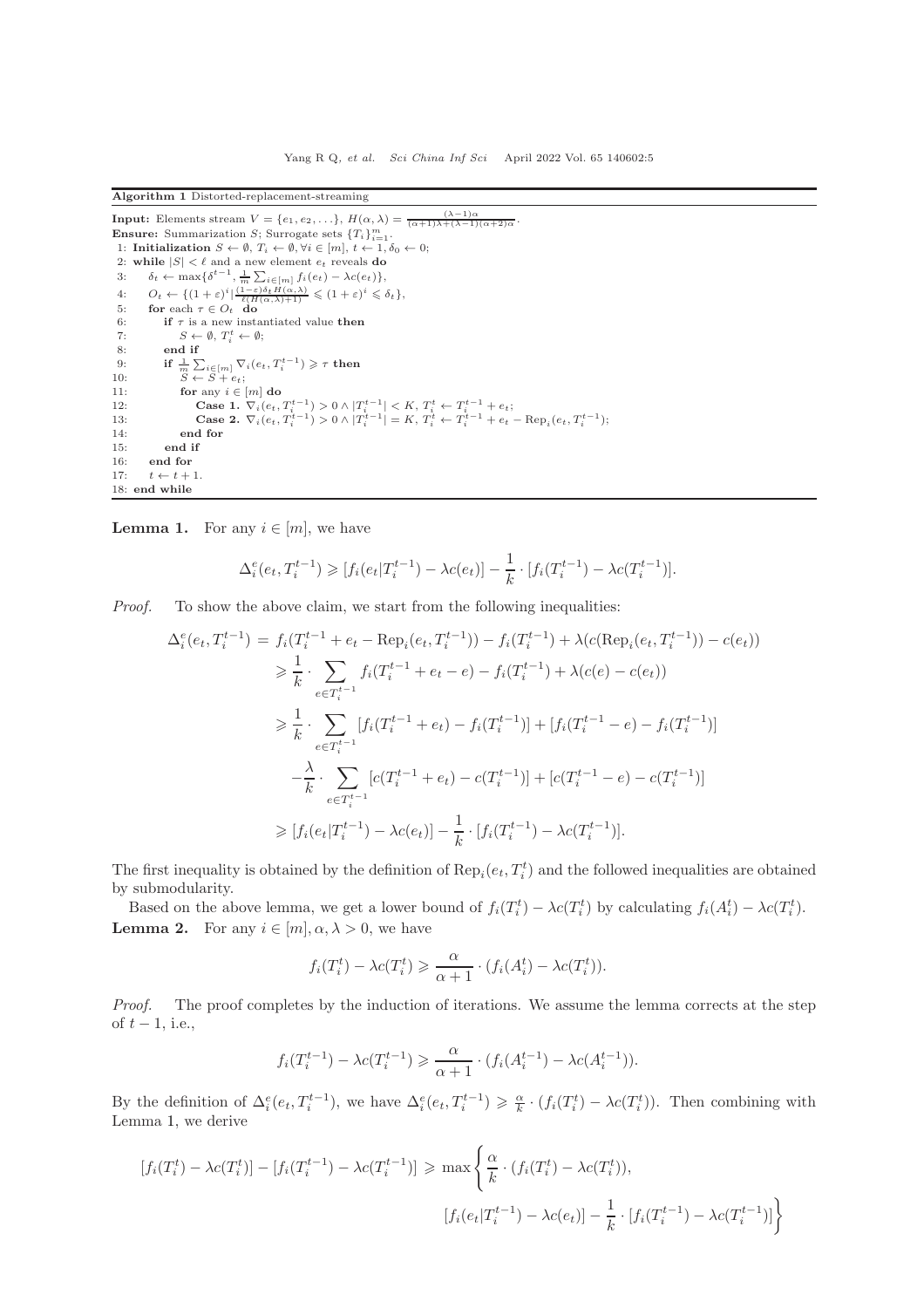<span id="page-4-0"></span>Algorithm 1 Distorted-replacement-streaming

```
Input: Elements stream V = \{e_1, e_2, \ldots\}, H(\alpha, \lambda) = \frac{(\lambda - 1)\alpha}{(\alpha + 1)\lambda + (\lambda - 1)(\alpha + 2)\alpha}.
Ensure: Summarization S; Surrogate sets {T_i}_{i=1}^m.<br>1: Initialization S \leftarrow \emptyset, T_i \leftarrow \emptyset, \forall i \in [m], t \leftarrow 1, \delta_0 \leftarrow 0;
  2: while |S| < \ell and a new element e_t reveals do
  3: \delta_t \leftarrow \max\{\delta^{t-1}, \frac{1}{m} \sum_{i \in [m]} f_i(e_t) - \lambda c(e_t)\},\4: O_t \leftarrow \{ (1+\varepsilon)^i \mid \frac{(1-\varepsilon)\delta_t H(\alpha,\lambda)}{\ell(H(\alpha,\lambda)+1)} \leq (1+\varepsilon)^i \leq \delta_t \},5: for each \tau \in O_t do
  6: if \tau is a new instantiated value then<br>7: S \leftarrow \emptyset, T_s^t \leftarrow \emptyset:
  7: S \leftarrow \emptyset, T_i^t \leftarrow \emptyset;8: end if
  9: if \frac{1}{m} \sum_{i \in [m]} \nabla_i(e_t, T_i^{t-1}) \geqslant \tau then
10: S \leftarrow S + e_t;11: for any i \in [m] do<br>
12: Case 1. \nabla_i(e_t, T_i^{t-1}) > 0 \wedge |T_i^{t-1}| < K, T_i^t \leftarrow T_i^{t-1} + e_t;<br>
13: Case 2. \nabla_i(e_t, T_i^{t-1}) > 0 \wedge |T_i^{t-1}| = K, T_i^t \leftarrow T_i^{t-1} + e_t - \text{Rep}_i(e_t, T_i^{t-1});
14: end for
15: end if
16: end for
17: t \leftarrow t + 118: end while
```
<span id="page-4-1"></span>**Lemma 1.** For any  $i \in [m]$ , we have

$$
\Delta_i^e(e_t, T_i^{t-1}) \geq [f_i(e_t|T_i^{t-1}) - \lambda c(e_t)] - \frac{1}{k} \cdot [f_i(T_i^{t-1}) - \lambda c(T_i^{t-1})].
$$

Proof. To show the above claim, we start from the following inequalities:

$$
\Delta_i^e(e_t, T_i^{t-1}) = f_i(T_i^{t-1} + e_t - \text{Rep}_i(e_t, T_i^{t-1})) - f_i(T_i^{t-1}) + \lambda(c(\text{Rep}_i(e_t, T_i^{t-1})) - c(e_t))
$$
\n
$$
\geq \frac{1}{k} \cdot \sum_{e \in T_i^{t-1}} f_i(T_i^{t-1} + e_t - e) - f_i(T_i^{t-1}) + \lambda(c(e) - c(e_t))
$$
\n
$$
\geq \frac{1}{k} \cdot \sum_{e \in T_i^{t-1}} [f_i(T_i^{t-1} + e_t) - f_i(T_i^{t-1})] + [f_i(T_i^{t-1} - e) - f_i(T_i^{t-1})]
$$
\n
$$
-\frac{\lambda}{k} \cdot \sum_{e \in T_i^{t-1}} [c(T_i^{t-1} + e_t) - c(T_i^{t-1})] + [c(T_i^{t-1} - e) - c(T_i^{t-1})]
$$
\n
$$
\geq [f_i(e_t|T_i^{t-1}) - \lambda c(e_t)] - \frac{1}{k} \cdot [f_i(T_i^{t-1}) - \lambda c(T_i^{t-1})].
$$

The first inequality is obtained by the definition of  $\text{Rep}_i(e_t, T_i^t)$  and the followed inequalities are obtained by submodularity.

<span id="page-4-2"></span>Based on the above lemma, we get a lower bound of  $f_i(T_i^t) - \lambda c(T_i^t)$  by calculating  $f_i(A_i^t) - \lambda c(T_i^t)$ . **Lemma 2.** For any  $i \in [m], \alpha, \lambda > 0$ , we have

$$
f_i(T_i^t) - \lambda c(T_i^t) \geq \frac{\alpha}{\alpha + 1} \cdot (f_i(A_i^t) - \lambda c(T_i^t)).
$$

Proof. The proof completes by the induction of iterations. We assume the lemma corrects at the step of  $t-1$ , i.e.,

$$
f_i(T_i^{t-1}) - \lambda c(T_i^{t-1}) \ge \frac{\alpha}{\alpha+1} \cdot (f_i(A_i^{t-1}) - \lambda c(A_i^{t-1})).
$$

By the definition of  $\Delta_i^e(e_t, T_i^{t-1})$ , we have  $\Delta_i^e(e_t, T_i^{t-1}) \geq \frac{\alpha}{k} \cdot (f_i(T_i^t) - \lambda c(T_i^t))$ . Then combining with Lemma [1,](#page-4-1) we derive

$$
[f_i(T_i^t) - \lambda c(T_i^t)] - [f_i(T_i^{t-1}) - \lambda c(T_i^{t-1})] \ge \max\left\{\frac{\alpha}{k} \cdot (f_i(T_i^t) - \lambda c(T_i^t)),\right\}
$$

$$
[f_i(e_t|T_i^{t-1}) - \lambda c(e_t)] - \frac{1}{k} \cdot [f_i(T_i^{t-1}) - \lambda c(T_i^{t-1})]\right\}
$$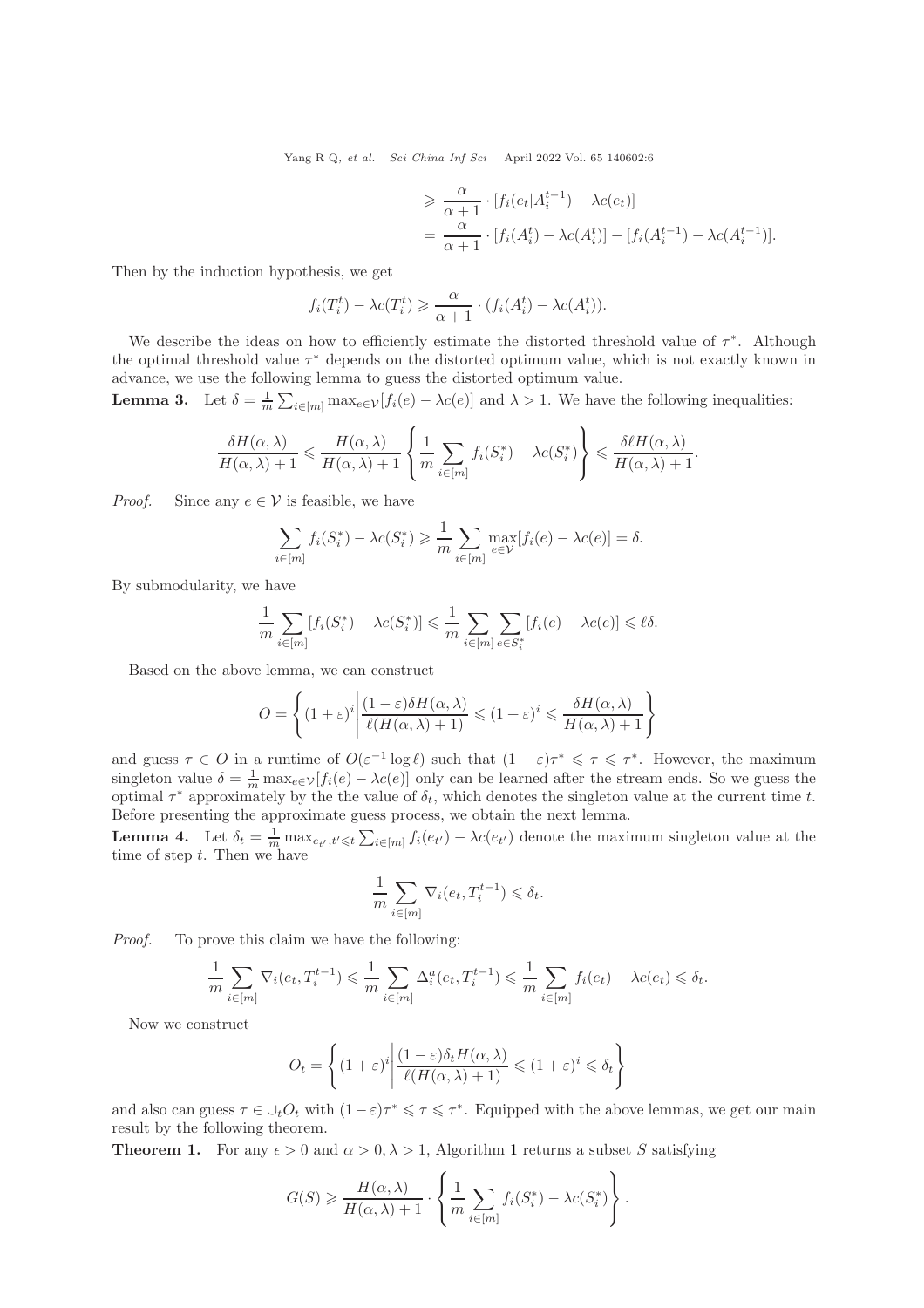$$
\geq \frac{\alpha}{\alpha+1} \cdot [f_i(e_t|A_i^{t-1}) - \lambda c(e_t)]
$$
  
= 
$$
\frac{\alpha}{\alpha+1} \cdot [f_i(A_i^t) - \lambda c(A_i^t)] - [f_i(A_i^{t-1}) - \lambda c(A_i^{t-1})].
$$

Then by the induction hypothesis, we get

$$
f_i(T_i^t) - \lambda c(T_i^t) \geq \frac{\alpha}{\alpha + 1} \cdot (f_i(A_i^t) - \lambda c(A_i^t)).
$$

We describe the ideas on how to efficiently estimate the distorted threshold value of  $\tau^*$ . Although the optimal threshold value  $\tau^*$  depends on the distorted optimum value, which is not exactly known in advance, we use the following lemma to guess the distorted optimum value.

**Lemma 3.** Let  $\delta = \frac{1}{m} \sum_{i \in [m]} \max_{e \in \mathcal{V}} [f_i(e) - \lambda c(e)]$  and  $\lambda > 1$ . We have the following inequalities:

$$
\frac{\delta H(\alpha,\lambda)}{H(\alpha,\lambda)+1} \leqslant \frac{H(\alpha,\lambda)}{H(\alpha,\lambda)+1} \left\{ \frac{1}{m} \sum_{i \in [m]} f_i(S_i^*) - \lambda c(S_i^*) \right\} \leqslant \frac{\delta \ell H(\alpha,\lambda)}{H(\alpha,\lambda)+1}.
$$

*Proof.* Since any  $e \in V$  is feasible, we have

$$
\sum_{i \in [m]} f_i(S_i^*) - \lambda c(S_i^*) \ge \frac{1}{m} \sum_{i \in [m]} \max_{e \in \mathcal{V}} [f_i(e) - \lambda c(e)] = \delta.
$$

By submodularity, we have

$$
\frac{1}{m}\sum_{i\in[m]}[f_i(S_i^*) - \lambda c(S_i^*)] \leq \frac{1}{m}\sum_{i\in[m]} \sum_{e \in S_i^*} [f_i(e) - \lambda c(e)] \leq \ell\delta.
$$

Based on the above lemma, we can construct

$$
O = \left\{ (1+\varepsilon)^i \middle| \frac{(1-\varepsilon)\delta H(\alpha,\lambda)}{\ell(H(\alpha,\lambda)+1)} \leq (1+\varepsilon)^i \leq \frac{\delta H(\alpha,\lambda)}{H(\alpha,\lambda)+1} \right\}
$$

and guess  $\tau \in O$  in a runtime of  $O(\varepsilon^{-1} \log \ell)$  such that  $(1 - \varepsilon) \tau^* \leq \tau \leq \tau^*$ . However, the maximum singleton value  $\delta = \frac{1}{m} \max_{e \in \mathcal{V}} [f_i(e) - \lambda c(e)]$  only can be learned after the stream ends. So we guess the optimal  $\tau^*$  approximately by the the value of  $\delta_t$ , which denotes the singleton value at the current time t. Before presenting the approximate guess process, we obtain the next lemma.

**Lemma 4.** Let  $\delta_t = \frac{1}{m} \max_{e_{t'}, t' \leq t} \sum_{i \in [m]} f_i(e_{t'}) - \lambda c(e_{t'})$  denote the maximum singleton value at the time of step  $t$ . Then we have

$$
\frac{1}{m} \sum_{i \in [m]} \nabla_i(e_t, T_i^{t-1}) \leq \delta_t.
$$

Proof. To prove this claim we have the following:

$$
\frac{1}{m}\sum_{i\in[m]} \nabla_i(e_t, T_i^{t-1}) \leq \frac{1}{m}\sum_{i\in[m]} \Delta_i^a(e_t, T_i^{t-1}) \leq \frac{1}{m}\sum_{i\in[m]} f_i(e_t) - \lambda c(e_t) \leq \delta_t.
$$

Now we construct

$$
O_t = \left\{ (1+\varepsilon)^i \middle| \frac{(1-\varepsilon)\delta_t H(\alpha,\lambda)}{\ell(H(\alpha,\lambda)+1)} \leq (1+\varepsilon)^i \leq \delta_t \right\}
$$

and also can guess  $\tau \in \bigcup_t O_t$  with  $(1-\varepsilon)\tau^* \leq \tau \leq \tau^*$ . Equipped with the above lemmas, we get our main result by the following theorem.

**Theorem [1](#page-4-0).** For any  $\epsilon > 0$  and  $\alpha > 0, \lambda > 1$ , Algorithm 1 returns a subset S satisfying

$$
G(S) \geqslant \frac{H(\alpha, \lambda)}{H(\alpha, \lambda) + 1} \cdot \left\{ \frac{1}{m} \sum_{i \in [m]} f_i(S_i^*) - \lambda c(S_i^*) \right\}.
$$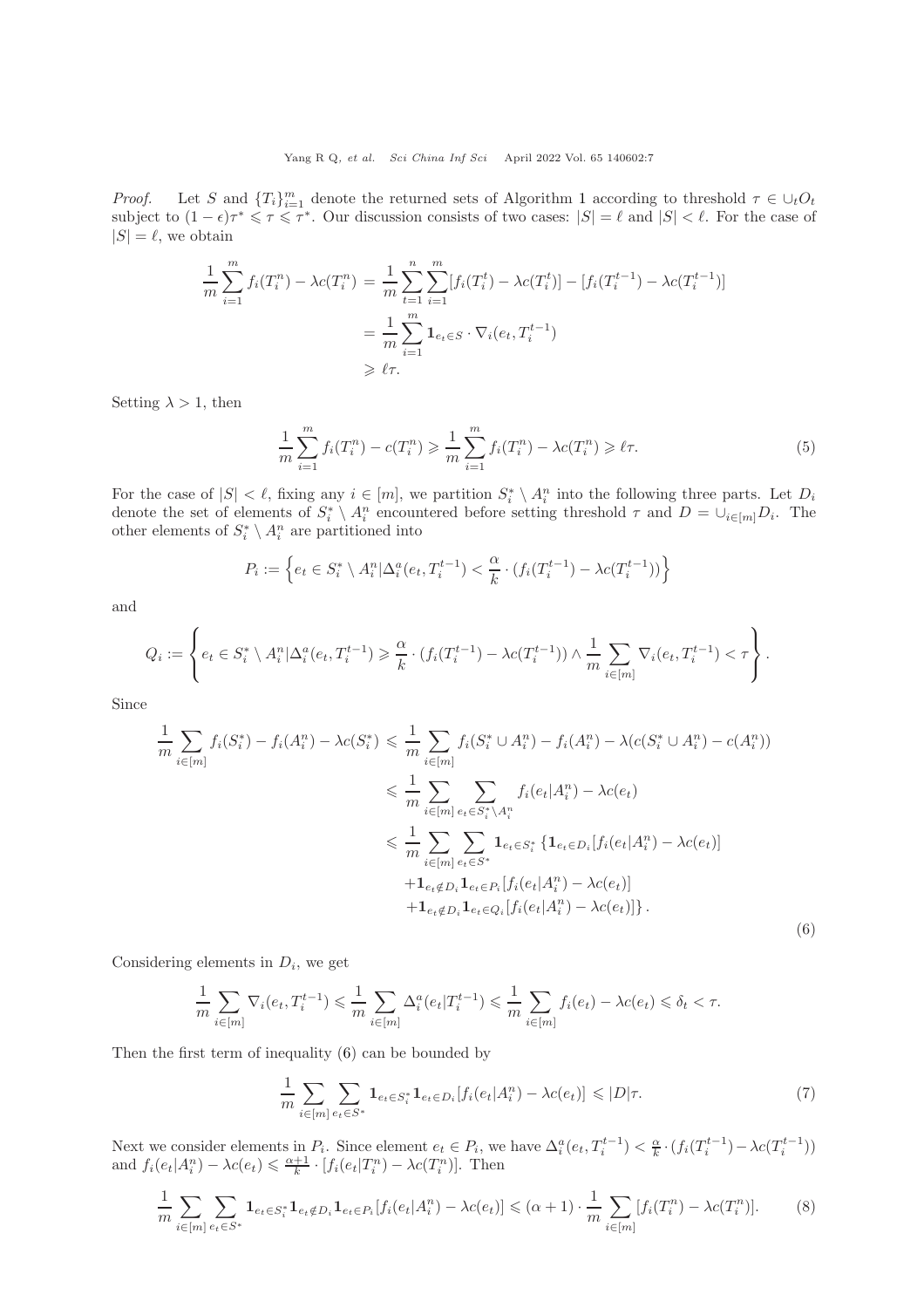*Proof.* Let S and  ${T_i}_{i=1}^m$  ${T_i}_{i=1}^m$  ${T_i}_{i=1}^m$  denote the returned sets of Algorithm 1 according to threshold  $\tau \in \bigcup_t O_t$ subject to  $(1 - \epsilon)\tau^* \leq \tau \leq \tau^*$ . Our discussion consists of two cases:  $|S| = \ell$  and  $|S| < \ell$ . For the case of  $|S| = \ell$ , we obtain

$$
\frac{1}{m} \sum_{i=1}^{m} f_i(T_i^n) - \lambda c(T_i^n) = \frac{1}{m} \sum_{t=1}^{n} \sum_{i=1}^{m} [f_i(T_i^t) - \lambda c(T_i^t)] - [f_i(T_i^{t-1}) - \lambda c(T_i^{t-1})]
$$

$$
= \frac{1}{m} \sum_{i=1}^{m} \mathbf{1}_{e_t \in S} \cdot \nabla_i(e_t, T_i^{t-1})
$$

$$
\geq \ell \tau.
$$

Setting  $\lambda > 1$ , then

<span id="page-6-2"></span>
$$
\frac{1}{m} \sum_{i=1}^{m} f_i(T_i^n) - c(T_i^n) \geq \frac{1}{m} \sum_{i=1}^{m} f_i(T_i^n) - \lambda c(T_i^n) \geq \ell \tau.
$$
 (5)

For the case of  $|S| < \ell$ , fixing any  $i \in [m]$ , we partition  $S_i^* \setminus A_i^n$  into the following three parts. Let  $D_i$ denote the set of elements of  $S_i^* \setminus A_i^n$  encountered before setting threshold  $\tau$  and  $D = \bigcup_{i \in [m]} D_i$ . The other elements of  $S_i^* \setminus A_i^n$  are partitioned into

$$
P_i := \left\{ e_t \in S_i^* \setminus A_i^n | \Delta_i^a(e_t, T_i^{t-1}) < \frac{\alpha}{k} \cdot (f_i(T_i^{t-1}) - \lambda c(T_i^{t-1})) \right\}
$$

and

$$
Q_i := \left\{ e_t \in S_i^* \setminus A_i^n | \Delta_i^a(e_t, T_i^{t-1}) \geq \frac{\alpha}{k} \cdot (f_i(T_i^{t-1}) - \lambda c(T_i^{t-1})) \wedge \frac{1}{m} \sum_{i \in [m]} \nabla_i(e_t, T_i^{t-1}) < \tau \right\}.
$$

Since

<span id="page-6-0"></span>
$$
\frac{1}{m} \sum_{i \in [m]} f_i(S_i^*) - f_i(A_i^n) - \lambda c(S_i^*) \leq \frac{1}{m} \sum_{i \in [m]} f_i(S_i^* \cup A_i^n) - f_i(A_i^n) - \lambda (c(S_i^* \cup A_i^n) - c(A_i^n))
$$
\n
$$
\leq \frac{1}{m} \sum_{i \in [m]} \sum_{e_t \in S_i^* \setminus A_i^n} f_i(e_t | A_i^n) - \lambda c(e_t)
$$
\n
$$
\leq \frac{1}{m} \sum_{i \in [m]} \sum_{e_t \in S_i^*} \mathbf{1}_{e_t \in S_i^*} \{ \mathbf{1}_{e_t \in D_i} [f_i(e_t | A_i^n) - \lambda c(e_t)]
$$
\n
$$
+ \mathbf{1}_{e_t \notin D_i} \mathbf{1}_{e_t \in Q_i} [f_i(e_t | A_i^n) - \lambda c(e_t)]
$$
\n
$$
+ \mathbf{1}_{e_t \notin D_i} \mathbf{1}_{e_t \in Q_i} [f_i(e_t | A_i^n) - \lambda c(e_t)] \}.
$$
\n(6)

Considering elements in  $D_i$ , we get

$$
\frac{1}{m}\sum_{i\in[m]} \nabla_i(e_t, T_i^{t-1}) \leq \frac{1}{m}\sum_{i\in[m]} \Delta_i^a(e_t|T_i^{t-1}) \leq \frac{1}{m}\sum_{i\in[m]} f_i(e_t) - \lambda c(e_t) \leq \delta_t < \tau.
$$

Then the first term of inequality [\(6\)](#page-6-0) can be bounded by

<span id="page-6-1"></span>
$$
\frac{1}{m} \sum_{i \in [m]} \sum_{e_t \in S^*} \mathbf{1}_{e_t \in S_i^*} \mathbf{1}_{e_t \in D_i} [f_i(e_t | A_i^n) - \lambda c(e_t)] \leq D|\tau. \tag{7}
$$

Next we consider elements in  $P_i$ . Since element  $e_t \in P_i$ , we have  $\Delta_i^a(e_t, T_i^{t-1}) < \frac{\alpha}{k} \cdot (f_i(T_i^{t-1}) - \lambda c(T_i^{t-1}))$ and  $f_i(e_t|A_i^n) - \lambda c(e_t) \leq \frac{\alpha+1}{k} \cdot [f_i(e_t|T_i^n) - \lambda c(T_i^n)]$ . Then

$$
\frac{1}{m} \sum_{i \in [m]} \sum_{e_t \in S^*} \mathbf{1}_{e_t \in S_i^*} \mathbf{1}_{e_t \notin D_i} \mathbf{1}_{e_t \in P_i} [f_i(e_t | A_i^n) - \lambda c(e_t)] \leq (\alpha + 1) \cdot \frac{1}{m} \sum_{i \in [m]} [f_i(T_i^n) - \lambda c(T_i^n)]. \tag{8}
$$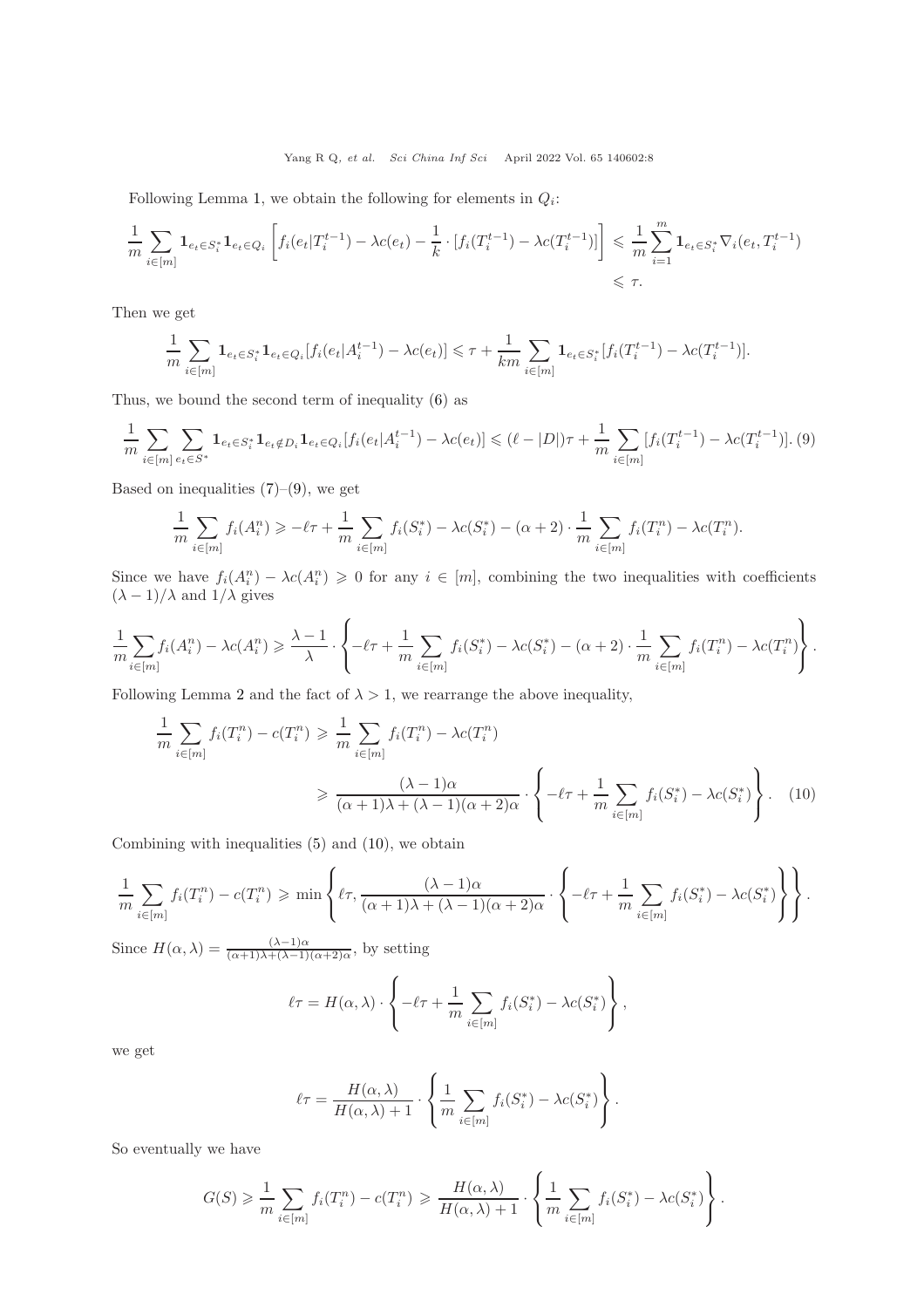Following Lemma [1,](#page-4-1) we obtain the following for elements in  $Q_i$ :

$$
\frac{1}{m} \sum_{i \in [m]} \mathbf{1}_{e_t \in S_i^*} \mathbf{1}_{e_t \in Q_i} \left[ f_i(e_t | T_i^{t-1}) - \lambda c(e_t) - \frac{1}{k} \cdot [f_i(T_i^{t-1}) - \lambda c(T_i^{t-1})] \right] \leq \frac{1}{m} \sum_{i=1}^m \mathbf{1}_{e_t \in S_i^*} \nabla_i(e_t, T_i^{t-1}) \leq \tau.
$$

Then we get

$$
\frac{1}{m} \sum_{i \in [m]} \mathbf{1}_{e_t \in S_i^*} \mathbf{1}_{e_t \in Q_i} [f_i(e_t | A_i^{t-1}) - \lambda c(e_t)] \leq \tau + \frac{1}{km} \sum_{i \in [m]} \mathbf{1}_{e_t \in S_i^*} [f_i(T_i^{t-1}) - \lambda c(T_i^{t-1})].
$$

Thus, we bound the second term of inequality [\(6\)](#page-6-0) as

<span id="page-7-0"></span>
$$
\frac{1}{m} \sum_{i \in [m]} \sum_{e_t \in S^*} \mathbf{1}_{e_t \in S_i^*} \mathbf{1}_{e_t \notin D_i} \mathbf{1}_{e_t \in Q_i} [f_i(e_t | A_i^{t-1}) - \lambda c(e_t)] \leq (\ell - |D|)\tau + \frac{1}{m} \sum_{i \in [m]} [f_i(T_i^{t-1}) - \lambda c(T_i^{t-1})].
$$
 (9)

Based on inequalities  $(7)-(9)$  $(7)-(9)$ , we get

$$
\frac{1}{m} \sum_{i \in [m]} f_i(A_i^n) \ge -\ell \tau + \frac{1}{m} \sum_{i \in [m]} f_i(S_i^*) - \lambda c(S_i^*) - (\alpha + 2) \cdot \frac{1}{m} \sum_{i \in [m]} f_i(T_i^n) - \lambda c(T_i^n).
$$

Since we have  $f_i(A_i^n) - \lambda c(A_i^n) \geq 0$  for any  $i \in [m]$ , combining the two inequalities with coefficients  $(\lambda - 1)/\lambda$  and  $1/\lambda$  gives

$$
\frac{1}{m}\sum_{i\in[m]}f_i(A_i^n) - \lambda c(A_i^n) \geq \frac{\lambda - 1}{\lambda} \cdot \left\{-\ell\tau + \frac{1}{m}\sum_{i\in[m]}f_i(S_i^*) - \lambda c(S_i^*) - (\alpha + 2) \cdot \frac{1}{m}\sum_{i\in[m]}f_i(T_i^n) - \lambda c(T_i^n)\right\}.
$$

Following Lemma [2](#page-4-2) and the fact of  $\lambda > 1$ , we rearrange the above inequality,

<span id="page-7-1"></span>
$$
\frac{1}{m} \sum_{i \in [m]} f_i(T_i^n) - c(T_i^n) \ge \frac{1}{m} \sum_{i \in [m]} f_i(T_i^n) - \lambda c(T_i^n)
$$
\n
$$
\ge \frac{(\lambda - 1)\alpha}{(\alpha + 1)\lambda + (\lambda - 1)(\alpha + 2)\alpha} \cdot \left\{-\ell\tau + \frac{1}{m} \sum_{i \in [m]} f_i(S_i^*) - \lambda c(S_i^*)\right\}.
$$
\n(10)

Combining with inequalities [\(5\)](#page-6-2) and [\(10\)](#page-7-1), we obtain

$$
\frac{1}{m}\sum_{i\in[m]}f_i(T_i^n) - c(T_i^n) \geqslant \min\left\{\ell\tau, \frac{(\lambda-1)\alpha}{(\alpha+1)\lambda + (\lambda-1)(\alpha+2)\alpha} \cdot \left\{-\ell\tau + \frac{1}{m}\sum_{i\in[m]}f_i(S_i^*) - \lambda c(S_i^*)\right\}\right\}.
$$

Since  $H(\alpha,\lambda) = \frac{(\lambda-1)\alpha}{(\alpha+1)\lambda+(\lambda-1)(\alpha+2)\alpha}$ , by setting

$$
\ell\tau = H(\alpha, \lambda) \cdot \left\{-\ell\tau + \frac{1}{m} \sum_{i \in [m]} f_i(S_i^*) - \lambda c(S_i^*)\right\},\,
$$

we get

$$
\ell \tau = \frac{H(\alpha, \lambda)}{H(\alpha, \lambda) + 1} \cdot \left\{ \frac{1}{m} \sum_{i \in [m]} f_i(S_i^*) - \lambda c(S_i^*) \right\}.
$$

So eventually we have

$$
G(S) \geq \frac{1}{m} \sum_{i \in [m]} f_i(T_i^n) - c(T_i^n) \geq \frac{H(\alpha, \lambda)}{H(\alpha, \lambda) + 1} \cdot \left\{ \frac{1}{m} \sum_{i \in [m]} f_i(S_i^*) - \lambda c(S_i^*) \right\}.
$$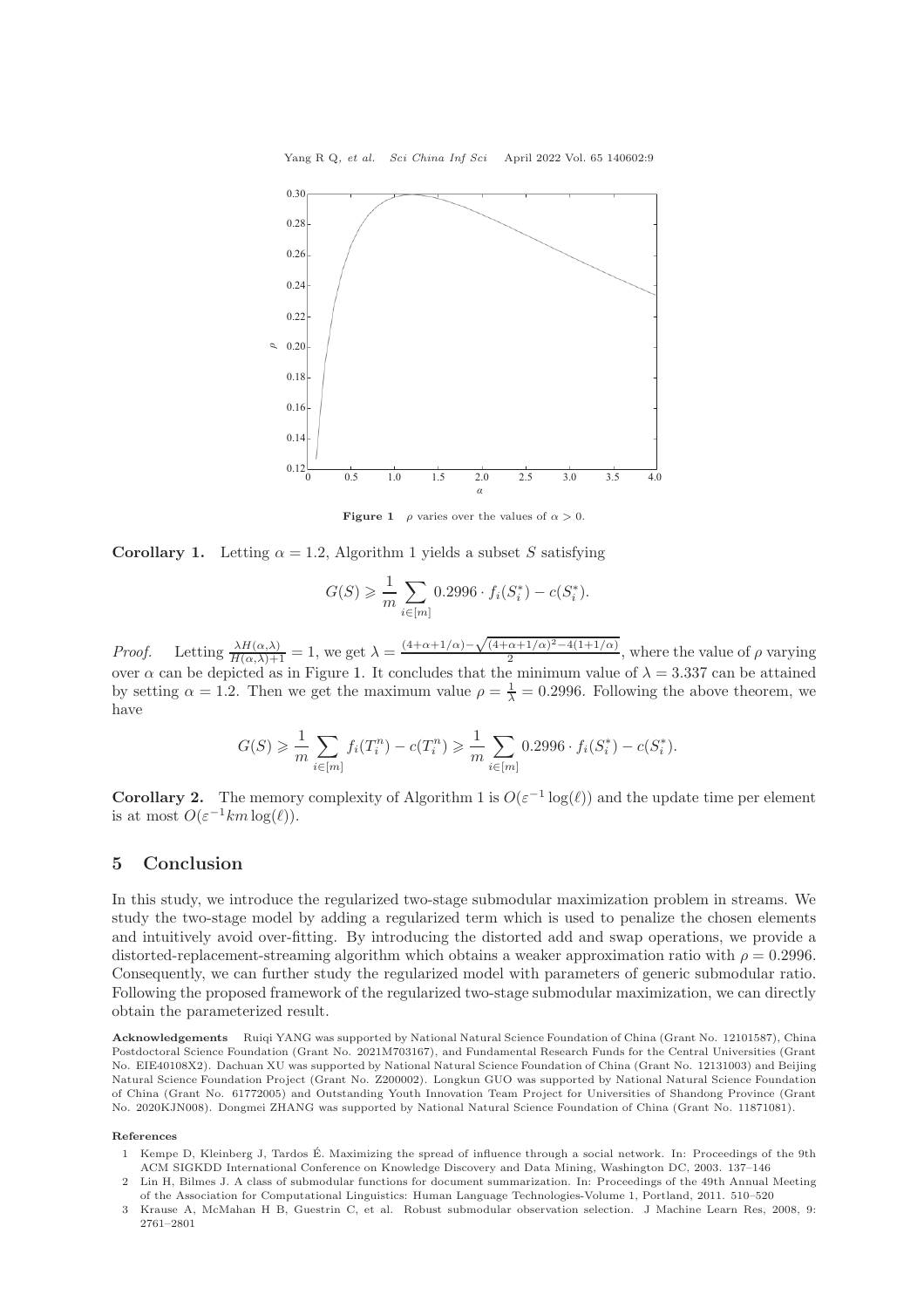<span id="page-8-4"></span>

**Figure 1**  $\rho$  varies over the values of  $\alpha > 0$ .

**Corollary 1.** Letting  $\alpha = 1.2$ , Algorithm 1 yields a subset S satisfying

$$
G(S) \geq \frac{1}{m} \sum_{i \in [m]} 0.2996 \cdot f_i(S_i^*) - c(S_i^*).
$$

*Proof.* Letting  $\frac{\lambda H(\alpha,\lambda)}{H(\alpha,\lambda)+1} = 1$ , we get  $\lambda = \frac{(4+\alpha+1/\alpha)-\sqrt{(4+\alpha+1/\alpha)^2-4(1+1/\alpha)}}{2}$  $\frac{\alpha+1}{2}$   $\rightarrow$   $\frac{1}{2}$ , where the value of  $\rho$  varying over  $\alpha$  can be depicted as in Figure [1.](#page-8-4) It concludes that the minimum value of  $\lambda = 3.337$  can be attained by setting  $\alpha = 1.2$ . Then we get the maximum value  $\rho = \frac{1}{\lambda} = 0.2996$ . Following the above theorem, we have

$$
G(S) \geq \frac{1}{m} \sum_{i \in [m]} f_i(T_i^n) - c(T_i^n) \geq \frac{1}{m} \sum_{i \in [m]} 0.2996 \cdot f_i(S_i^*) - c(S_i^*).
$$

**Corollary 2.** The memory complexity of Algorithm 1 is  $O(\varepsilon^{-1} \log(\ell))$  and the update time per element is at most  $O(\varepsilon^{-1}km \log(\ell)).$ 

## <span id="page-8-3"></span>5 Conclusion

In this study, we introduce the regularized two-stage submodular maximization problem in streams. We study the two-stage model by adding a regularized term which is used to penalize the chosen elements and intuitively avoid over-fitting. By introducing the distorted add and swap operations, we provide a distorted-replacement-streaming algorithm which obtains a weaker approximation ratio with  $\rho = 0.2996$ . Consequently, we can further study the regularized model with parameters of generic submodular ratio. Following the proposed framework of the regularized two-stage submodular maximization, we can directly obtain the parameterized result.

Acknowledgements Ruiqi YANG was supported by National Natural Science Foundation of China (Grant No. 12101587), China Postdoctoral Science Foundation (Grant No. 2021M703167), and Fundamental Research Funds for the Central Universities (Grant No. EIE40108X2). Dachuan XU was supported by National Natural Science Foundation of China (Grant No. 12131003) and Beijing Natural Science Foundation Project (Grant No. Z200002). Longkun GUO was supported by National Natural Science Foundation of China (Grant No. 61772005) and Outstanding Youth Innovation Team Project for Universities of Shandong Province (Grant No. 2020KJN008). Dongmei ZHANG was supported by National Natural Science Foundation of China (Grant No. 11871081).

#### <span id="page-8-0"></span>References

- 1 Kempe D, Kleinberg J, Tardos É. Maximizing the spread of influence through a social network. In: Proceedings of the 9th ACM SIGKDD International Conference on Knowledge Discovery and Data Mining, Washington DC, 2003. 137–146
- <span id="page-8-1"></span>2 Lin H, Bilmes J. A class of submodular functions for document summarization. In: Proceedings of the 49th Annual Meeting of the Association for Computational Linguistics: Human Language Technologies-Volume 1, Portland, 2011. 510–520
- <span id="page-8-2"></span>3 Krause A, McMahan H B, Guestrin C, et al. Robust submodular observation selection. J Machine Learn Res, 2008, 9: 2761–2801